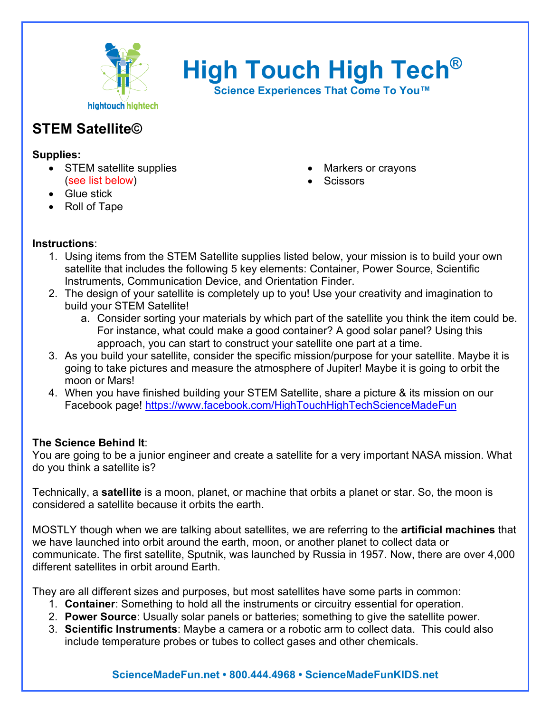

**High Touch High Tech®**

**Science Experiences That Come To You™**

# **STEM Satellite©**

#### **Supplies:**

- STEM satellite supplies (see list below)
- Glue stick
- Roll of Tape
- Markers or crayons
- **Scissors**

### **Instructions**:

- 1. Using items from the STEM Satellite supplies listed below, your mission is to build your own satellite that includes the following 5 key elements: Container, Power Source, Scientific Instruments, Communication Device, and Orientation Finder.
- 2. The design of your satellite is completely up to you! Use your creativity and imagination to build your STEM Satellite!
	- a. Consider sorting your materials by which part of the satellite you think the item could be. For instance, what could make a good container? A good solar panel? Using this approach, you can start to construct your satellite one part at a time.
- 3. As you build your satellite, consider the specific mission/purpose for your satellite. Maybe it is going to take pictures and measure the atmosphere of Jupiter! Maybe it is going to orbit the moon or Mars!
- 4. When you have finished building your STEM Satellite, share a picture & its mission on our Facebook page!<https://www.facebook.com/HighTouchHighTechScienceMadeFun>

### **The Science Behind It**:

You are going to be a junior engineer and create a satellite for a very important NASA mission. What do you think a satellite is?

Technically, a **satellite** is a moon, planet, or machine that orbits a planet or star. So, the moon is considered a satellite because it orbits the earth.

MOSTLY though when we are talking about satellites, we are referring to the **artificial machines** that we have launched into orbit around the earth, moon, or another planet to collect data or communicate. The first satellite, Sputnik, was launched by Russia in 1957. Now, there are over 4,000 different satellites in orbit around Earth.

They are all different sizes and purposes, but most satellites have some parts in common:

- 1. **Container**: Something to hold all the instruments or circuitry essential for operation.
- 2. **Power Source**: Usually solar panels or batteries; something to give the satellite power.
- 3. **Scientific Instruments**: Maybe a camera or a robotic arm to collect data. This could also include temperature probes or tubes to collect gases and other chemicals.